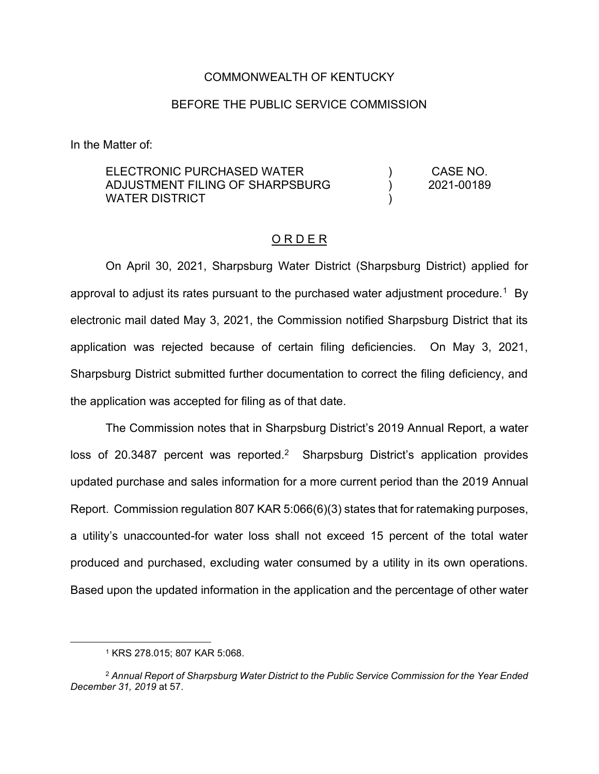#### COMMONWEALTH OF KENTUCKY

#### BEFORE THE PUBLIC SERVICE COMMISSION

In the Matter of:

ELECTRONIC PURCHASED WATER ADJUSTMENT FILING OF SHARPSBURG WATER DISTRICT ) ) ) CASE NO. 2021-00189

#### O R D E R

On April 30, 2021, Sharpsburg Water District (Sharpsburg District) applied for approval to adjust its rates pursuant to the purchased water adjustment procedure.<sup>1</sup> By electronic mail dated May 3, 2021, the Commission notified Sharpsburg District that its application was rejected because of certain filing deficiencies. On May 3, 2021, Sharpsburg District submitted further documentation to correct the filing deficiency, and the application was accepted for filing as of that date.

The Commission notes that in Sharpsburg District's 2019 Annual Report, a water loss of 20.3487 percent was reported.<sup>2</sup> Sharpsburg District's application provides updated purchase and sales information for a more current period than the 2019 Annual Report. Commission regulation 807 KAR 5:066(6)(3) states that for ratemaking purposes, a utility's unaccounted-for water loss shall not exceed 15 percent of the total water produced and purchased, excluding water consumed by a utility in its own operations. Based upon the updated information in the application and the percentage of other water

<sup>1</sup> KRS 278.015; 807 KAR 5:068.

<sup>2</sup> *Annual Report of Sharpsburg Water District to the Public Service Commission for the Year Ended December 31, 2019* at 57.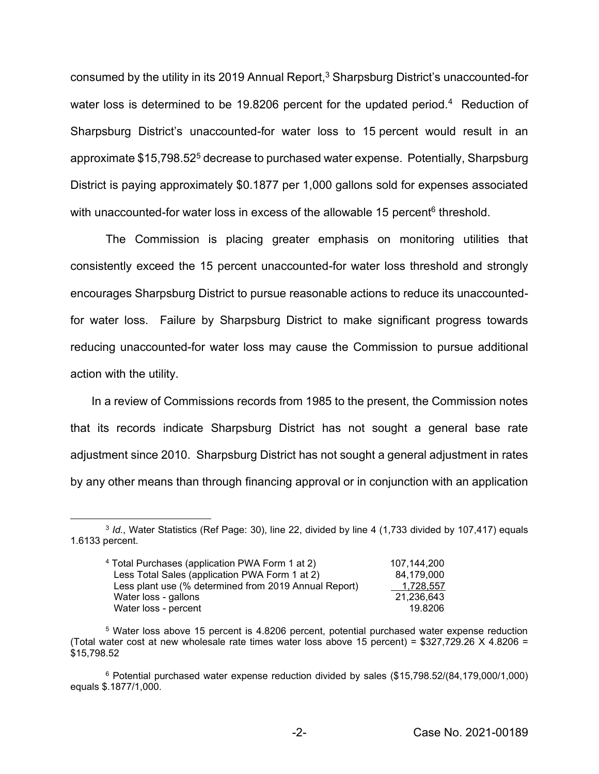consumed by the utility in its 2019 Annual Report,<sup>3</sup> Sharpsburg District's unaccounted-for water loss is determined to be 19.8206 percent for the updated period.<sup>4</sup> Reduction of Sharpsburg District's unaccounted-for water loss to 15 percent would result in an approximate \$15,798.525 decrease to purchased water expense. Potentially, Sharpsburg District is paying approximately \$0.1877 per 1,000 gallons sold for expenses associated with unaccounted-for water loss in excess of the allowable 15 percent<sup>6</sup> threshold.

The Commission is placing greater emphasis on monitoring utilities that consistently exceed the 15 percent unaccounted-for water loss threshold and strongly encourages Sharpsburg District to pursue reasonable actions to reduce its unaccountedfor water loss. Failure by Sharpsburg District to make significant progress towards reducing unaccounted-for water loss may cause the Commission to pursue additional action with the utility.

In a review of Commissions records from 1985 to the present, the Commission notes that its records indicate Sharpsburg District has not sought a general base rate adjustment since 2010. Sharpsburg District has not sought a general adjustment in rates by any other means than through financing approval or in conjunction with an application

<sup>3</sup> *Id.*, Water Statistics (Ref Page: 30), line 22, divided by line 4 (1,733 divided by 107,417) equals 1.6133 percent.

| <sup>4</sup> Total Purchases (application PWA Form 1 at 2) | 107.144.200 |
|------------------------------------------------------------|-------------|
| Less Total Sales (application PWA Form 1 at 2)             | 84.179.000  |
| Less plant use (% determined from 2019 Annual Report)      | 1.728.557   |
| Water loss - gallons                                       | 21.236.643  |
| Water loss - percent                                       | 19.8206     |

<sup>5</sup> Water loss above 15 percent is 4.8206 percent, potential purchased water expense reduction (Total water cost at new wholesale rate times water loss above 15 percent) =  $$327,729.26 \times 4.8206 =$ \$15,798.52

<sup>6</sup> Potential purchased water expense reduction divided by sales (\$15,798.52/(84,179,000/1,000) equals \$.1877/1,000.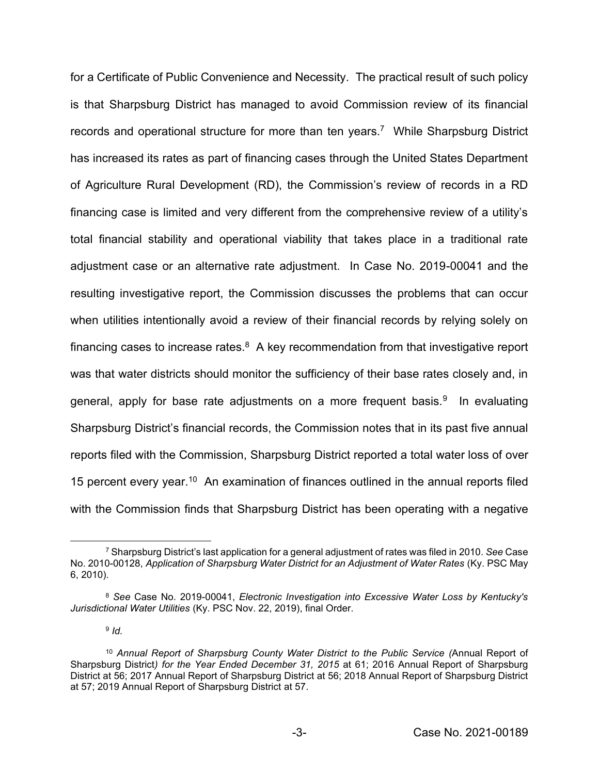for a Certificate of Public Convenience and Necessity. The practical result of such policy is that Sharpsburg District has managed to avoid Commission review of its financial records and operational structure for more than ten years.<sup>7</sup> While Sharpsburg District has increased its rates as part of financing cases through the United States Department of Agriculture Rural Development (RD), the Commission's review of records in a RD financing case is limited and very different from the comprehensive review of a utility's total financial stability and operational viability that takes place in a traditional rate adjustment case or an alternative rate adjustment. In Case No. 2019-00041 and the resulting investigative report, the Commission discusses the problems that can occur when utilities intentionally avoid a review of their financial records by relying solely on financing cases to increase rates. $8$  A key recommendation from that investigative report was that water districts should monitor the sufficiency of their base rates closely and, in general, apply for base rate adjustments on a more frequent basis.<sup>9</sup> In evaluating Sharpsburg District's financial records, the Commission notes that in its past five annual reports filed with the Commission, Sharpsburg District reported a total water loss of over 15 percent every year.<sup>10</sup> An examination of finances outlined in the annual reports filed with the Commission finds that Sharpsburg District has been operating with a negative

<sup>9</sup> *Id.* 

<sup>7</sup> Sharpsburg District's last application for a general adjustment of rates was filed in 2010. *See* Case No. 2010-00128, *Application of Sharpsburg Water District for an Adjustment of Water Rates* (Ky. PSC May 6, 2010).

<sup>8</sup> *See* Case No. 2019-00041, *Electronic Investigation into Excessive Water Loss by Kentucky's Jurisdictional Water Utilities* (Ky. PSC Nov. 22, 2019), final Order.

<sup>10</sup> *Annual Report of Sharpsburg County Water District to the Public Service (*Annual Report of Sharpsburg District*) for the Year Ended December 31, 2015* at 61; 2016 Annual Report of Sharpsburg District at 56; 2017 Annual Report of Sharpsburg District at 56; 2018 Annual Report of Sharpsburg District at 57; 2019 Annual Report of Sharpsburg District at 57.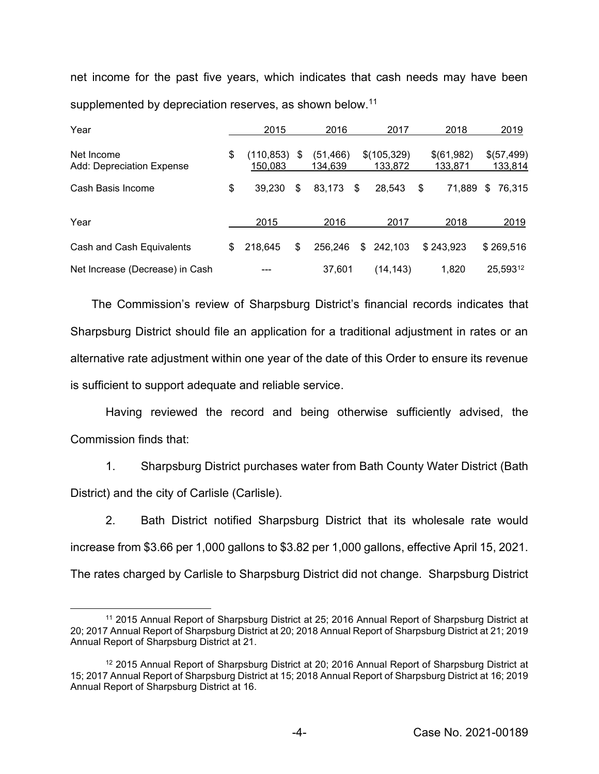net income for the past five years, which indicates that cash needs may have been supplemented by depreciation reserves, as shown below.<sup>11</sup>

| Year                                    | 2015                        | 2016                       |      | 2017                   | 2018                  | 2019                  |
|-----------------------------------------|-----------------------------|----------------------------|------|------------------------|-----------------------|-----------------------|
| Net Income<br>Add: Depreciation Expense | \$<br>(110, 853)<br>150,083 | \$<br>(51, 466)<br>134.639 |      | \$(105,329)<br>133,872 | \$(61,982)<br>133,871 | \$(57,499)<br>133,814 |
| Cash Basis Income                       | \$<br>39.230                | \$<br>83,173               | - \$ | 28,543                 | \$<br>71,889          | \$<br>76,315          |
| Year                                    | 2015                        | 2016                       |      | 2017                   | 2018                  | 2019                  |
| Cash and Cash Equivalents               | \$<br>218,645               | \$<br>256,246              |      | 242,103<br>\$          | \$243,923             | \$269,516             |
| Net Increase (Decrease) in Cash         |                             | 37,601                     |      | (14, 143)              | 1,820                 | 25,59312              |

The Commission's review of Sharpsburg District's financial records indicates that Sharpsburg District should file an application for a traditional adjustment in rates or an alternative rate adjustment within one year of the date of this Order to ensure its revenue is sufficient to support adequate and reliable service.

Having reviewed the record and being otherwise sufficiently advised, the Commission finds that:

1. Sharpsburg District purchases water from Bath County Water District (Bath District) and the city of Carlisle (Carlisle).

2. Bath District notified Sharpsburg District that its wholesale rate would increase from \$3.66 per 1,000 gallons to \$3.82 per 1,000 gallons, effective April 15, 2021. The rates charged by Carlisle to Sharpsburg District did not change. Sharpsburg District

<sup>11</sup> 2015 Annual Report of Sharpsburg District at 25; 2016 Annual Report of Sharpsburg District at 20; 2017 Annual Report of Sharpsburg District at 20; 2018 Annual Report of Sharpsburg District at 21; 2019 Annual Report of Sharpsburg District at 21.

<sup>12</sup> 2015 Annual Report of Sharpsburg District at 20; 2016 Annual Report of Sharpsburg District at 15; 2017 Annual Report of Sharpsburg District at 15; 2018 Annual Report of Sharpsburg District at 16; 2019 Annual Report of Sharpsburg District at 16.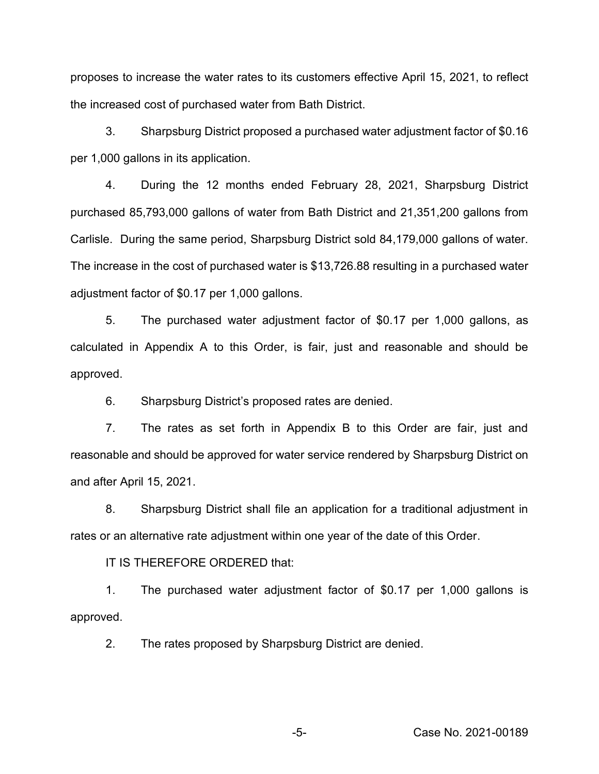proposes to increase the water rates to its customers effective April 15, 2021, to reflect the increased cost of purchased water from Bath District.

3. Sharpsburg District proposed a purchased water adjustment factor of \$0.16 per 1,000 gallons in its application.

4. During the 12 months ended February 28, 2021, Sharpsburg District purchased 85,793,000 gallons of water from Bath District and 21,351,200 gallons from Carlisle. During the same period, Sharpsburg District sold 84,179,000 gallons of water. The increase in the cost of purchased water is \$13,726.88 resulting in a purchased water adjustment factor of \$0.17 per 1,000 gallons.

5. The purchased water adjustment factor of \$0.17 per 1,000 gallons, as calculated in Appendix A to this Order, is fair, just and reasonable and should be approved.

6. Sharpsburg District's proposed rates are denied.

7. The rates as set forth in Appendix B to this Order are fair, just and reasonable and should be approved for water service rendered by Sharpsburg District on and after April 15, 2021.

8. Sharpsburg District shall file an application for a traditional adjustment in rates or an alternative rate adjustment within one year of the date of this Order.

IT IS THEREFORE ORDERED that:

1. The purchased water adjustment factor of \$0.17 per 1,000 gallons is approved.

2. The rates proposed by Sharpsburg District are denied.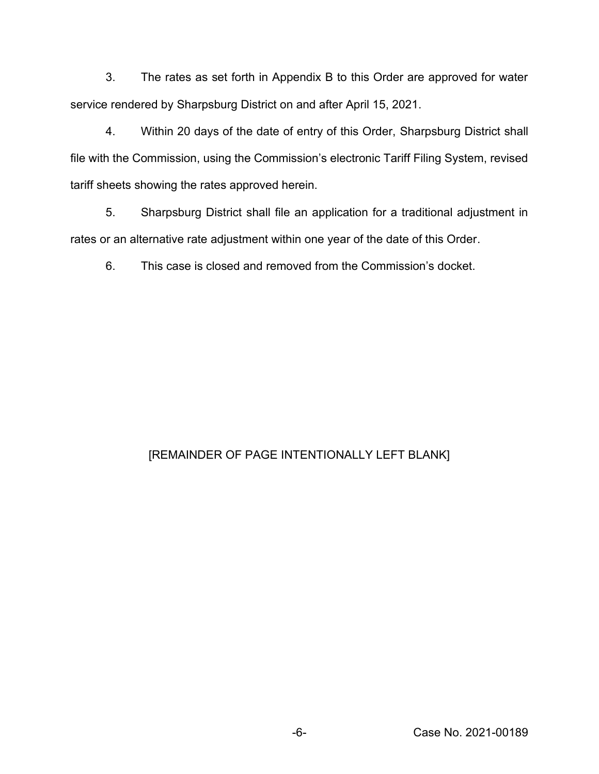3. The rates as set forth in Appendix B to this Order are approved for water service rendered by Sharpsburg District on and after April 15, 2021.

4. Within 20 days of the date of entry of this Order, Sharpsburg District shall file with the Commission, using the Commission's electronic Tariff Filing System, revised tariff sheets showing the rates approved herein.

5. Sharpsburg District shall file an application for a traditional adjustment in rates or an alternative rate adjustment within one year of the date of this Order.

6. This case is closed and removed from the Commission's docket.

# [REMAINDER OF PAGE INTENTIONALLY LEFT BLANK]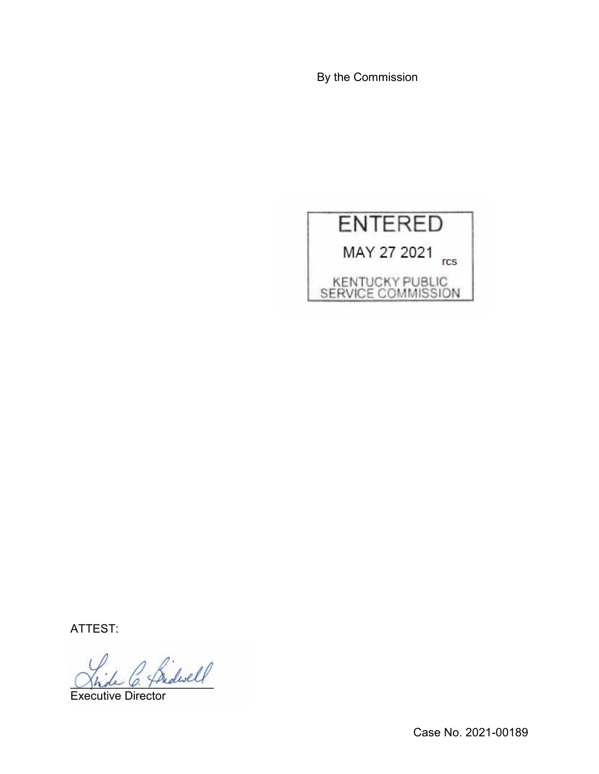By the Commission



ATTEST:

fridesell

Executive Director

Case No. 2021-00189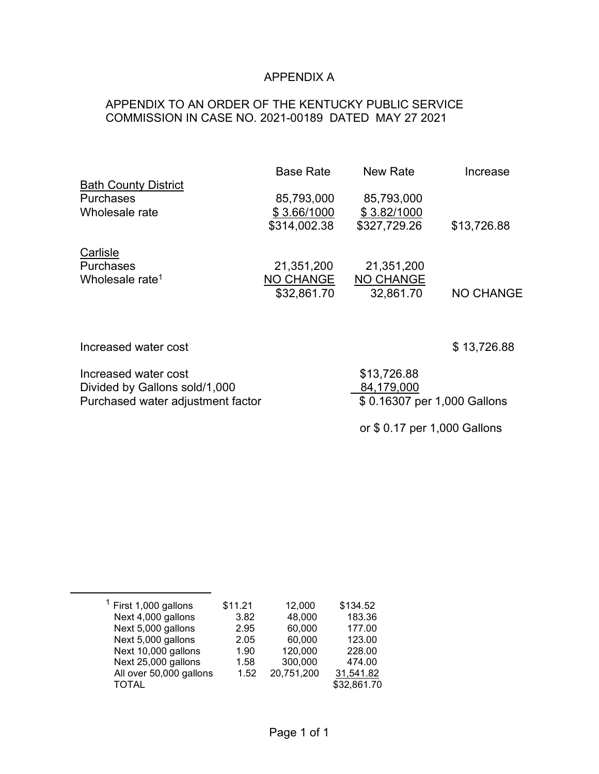# APPENDIX A

## APPENDIX TO AN ORDER OF THE KENTUCKY PUBLIC SERVICE COMMISSION IN CASE NO. 2021-00189 DATED MAY 27 2021

|                             | <b>Base Rate</b> | New Rate         | Increase    |
|-----------------------------|------------------|------------------|-------------|
| <b>Bath County District</b> |                  |                  |             |
| <b>Purchases</b>            | 85,793,000       | 85,793,000       |             |
| Wholesale rate              | \$3.66/1000      | \$3.82/1000      |             |
|                             | \$314,002.38     | \$327,729.26     | \$13,726.88 |
| Carlisle                    |                  |                  |             |
| <b>Purchases</b>            | 21,351,200       | 21,351,200       |             |
| Wholesale rate <sup>1</sup> | <b>NO CHANGE</b> | <b>NO CHANGE</b> |             |
|                             | \$32,861.70      | 32,861.70        | NO CHANGE   |

| Increased water cost              | \$13,726.88                  |  |  |  |
|-----------------------------------|------------------------------|--|--|--|
| Increased water cost              | \$13,726.88                  |  |  |  |
| Divided by Gallons sold/1,000     | 84,179,000                   |  |  |  |
| Purchased water adjustment factor | \$0.16307 per 1,000 Gallons  |  |  |  |
|                                   | or \$ 0.17 per 1,000 Gallons |  |  |  |

| $1$ First 1,000 gallons                                                                                     | \$11.21                      | 12,000                                     | \$134.52                                               |
|-------------------------------------------------------------------------------------------------------------|------------------------------|--------------------------------------------|--------------------------------------------------------|
| Next 4,000 gallons                                                                                          | 3.82                         | 48,000                                     | 183.36                                                 |
| Next 5,000 gallons                                                                                          | 2.95                         | 60,000                                     | 177.00                                                 |
| Next 5,000 gallons<br>Next 10,000 gallons<br>Next 25,000 gallons<br>All over 50,000 gallons<br><b>TOTAL</b> | 2.05<br>1.90<br>1.58<br>1.52 | 60,000<br>120,000<br>300,000<br>20,751,200 | 123.00<br>228.00<br>474.00<br>31,541.82<br>\$32,861.70 |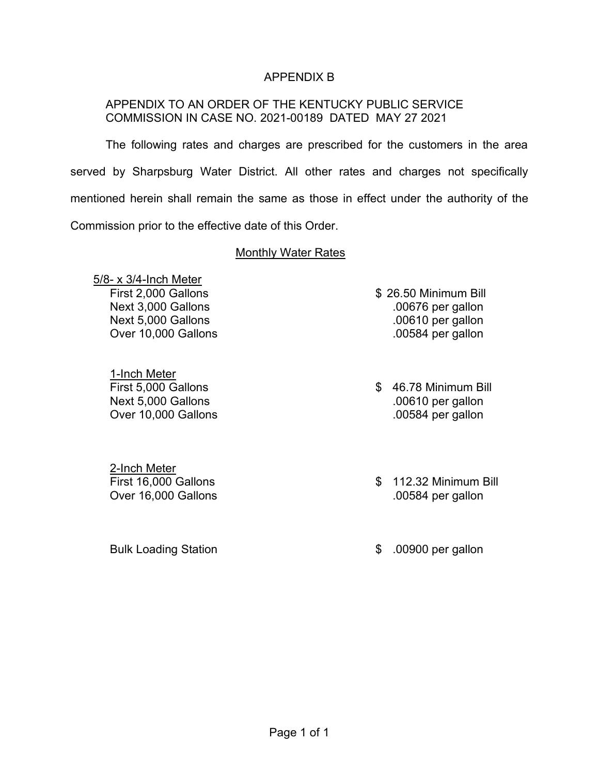## APPENDIX B

## APPENDIX TO AN ORDER OF THE KENTUCKY PUBLIC SERVICE COMMISSION IN CASE NO. 2021-00189 DATED MAY 27 2021

The following rates and charges are prescribed for the customers in the area served by Sharpsburg Water District. All other rates and charges not specifically mentioned herein shall remain the same as those in effect under the authority of the Commission prior to the effective date of this Order.

### Monthly Water Rates

5/8- x 3/4-Inch Meter

1-Inch Meter

2-Inch Meter Over 16,000 Gallons .00584 per gallon

Bulk Loading Station **\$ .00900 per gallon** 

- First 2,000 Gallons \$ 26.50 Minimum Bill Next 3,000 Gallons .00676 per gallon Next 5,000 Gallons .00610 per gallon Over 10,000 Gallons .00584 per gallon
- First 5,000 Gallons **\$ 46.78 Minimum Bill** Next 5,000 Gallons .00610 per gallon Over 10,000 Gallons .00584 per gallon
- First 16,000 Gallons \$ 112.32 Minimum Bill
	-